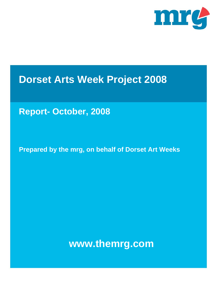

# **Dorset Arts Week Project 2008**

# **Report- October, 2008**

**Prepared by the mrg, on behalf of Dorset Art Weeks** 

**www.themrg.com**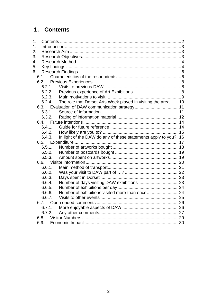# 1. Contents

| 1.             |        |                                                                   |  |
|----------------|--------|-------------------------------------------------------------------|--|
| 1 <sub>1</sub> |        |                                                                   |  |
| 2.             |        |                                                                   |  |
| 3.             |        |                                                                   |  |
| 4.             |        |                                                                   |  |
| 5.             |        |                                                                   |  |
| 6.             |        |                                                                   |  |
|                |        |                                                                   |  |
|                | 6.2.   |                                                                   |  |
|                | 6.2.1. |                                                                   |  |
|                | 6.2.2. |                                                                   |  |
|                | 6.2.3. |                                                                   |  |
|                | 6.2.4. | The role that Dorset Arts Week played in visiting the area10      |  |
|                |        | 6.3. Evaluation of DAW communication strategy 11                  |  |
|                | 6.3.1. |                                                                   |  |
|                | 6.3.2. |                                                                   |  |
|                |        |                                                                   |  |
|                | 6.4.1. |                                                                   |  |
|                | 6.4.2. |                                                                   |  |
|                | 6.4.3. | In light of the DAW do any of these statements apply to you? . 16 |  |
|                |        |                                                                   |  |
|                | 6.5.1. |                                                                   |  |
|                | 6.5.2. |                                                                   |  |
|                | 6.5.3. |                                                                   |  |
|                |        |                                                                   |  |
|                | 6.6.1. |                                                                   |  |
|                | 6.6.2. |                                                                   |  |
|                | 6.6.3. |                                                                   |  |
|                | 6.6.4. |                                                                   |  |
|                | 6.6.5. |                                                                   |  |
|                | 6.6.6. |                                                                   |  |
|                | 6.6.7. |                                                                   |  |
|                | 6.7.   |                                                                   |  |
|                | 6.7.1. |                                                                   |  |
|                | 6.7.2. |                                                                   |  |
|                | 6.8.   |                                                                   |  |
|                | 6.9.   |                                                                   |  |
|                |        |                                                                   |  |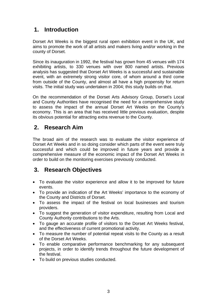# **1. Introduction**

Dorset Art Weeks is the biggest rural open exhibition event in the UK, and aims to promote the work of all artists and makers living and/or working in the county of Dorset.

Since its inauguration in 1992, the festival has grown from 45 venues with 174 exhibiting artists, to 330 venues with over 800 named artists. Previous analysis has suggested that Dorset Art Weeks is a successful and sustainable event, with an extremely strong visitor core, of whom around a third come from outside of the County, and almost all have a high propensity for return visits. The initial study was undertaken in 2004; this study builds on that.

On the recommendation of the Dorset Arts Advisory Group, Dorset's Local and County Authorities have recognised the need for a comprehensive study to assess the impact of the annual Dorset Art Weeks on the County's economy. This is an area that has received little previous evaluation, despite its obvious potential for attracting extra revenue to the County.

# **2. Research Aim**

The broad aim of the research was to evaluate the visitor experience of Dorset Art Weeks and in so doing consider which parts of the event were truly successful and which could be improved in future years and provide a comprehensive measure of the economic impact of the Dorset Art Weeks in order to build on the monitoring exercises previously conducted.

# **3. Research Objectives**

- To evaluate the visitor experience and allow it to be improved for future events.
- To provide an indication of the Art Weeks' importance to the economy of the County and Districts of Dorset.
- To assess the impact of the festival on local businesses and tourism providers.
- To suggest the generation of visitor expenditure, resulting from Local and County Authority contributions to the Arts.
- To gauge an accurate profile of visitors to the Dorset Art Weeks festival, and the effectiveness of current promotional activity.
- To measure the number of potential repeat visits to the County as a result of the Dorset Art Weeks.
- To enable comparative performance benchmarking for any subsequent projects, in order to identify trends throughout the future development of the festival.
- To build on previous studies conducted.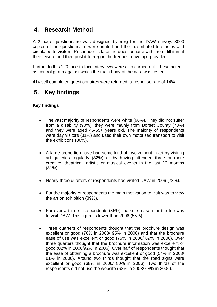# **4. Research Method**

A 2 page questionnaire was designed by **mrg** for the DAW survey. 3000 copies of the questionnaire were printed and then distributed to studios and circulated to visitors. Respondents take the questionnaire with them, fill it in at their leisure and then post it to **mrg** in the freepost envelope provided.

Further to this 120 face-to-face interviews were also carried out. These acted as control group against which the main body of the data was tested.

414 self completed questionnaires were returned, a response rate of 14%

# **5. Key findings**

#### **Key findings**

- The vast majority of respondents were white (96%). They did not suffer from a disability (90%), they were mainly from Dorset County (73%) and they were aged 45-65+ years old. The majority of respondents were day visitors (81%) and used their own motorised transport to visit the exhibitions (80%).
- A large proportion have had some kind of involvement in art by visiting art galleries regularly (82%) or by having attended three or more creative, theatrical, artistic or musical events in the last 12 months (81%).
- Nearly three quarters of respondents had visited DAW in 2006 (73%).
- For the majority of respondents the main motivation to visit was to view the art on exhibition (89%).
- For over a third of respondents (35%) the sole reason for the trip was to visit DAW. This figure is lower than 2006 (55%).
- Three quarters of respondents thought that the brochure design was excellent or good (76% in 2008/ 95% in 2006) and that the brochure ease of use was excellent or good (75% in 2008/ 89% in 2006). Over three quarters thought that the brochure information was excellent or good (82% in 2008/92% in 2006). Over half of respondents thought that the ease of obtaining a brochure was excellent or good (54% in 2008/ 81% in 2006). Around two thirds thought that the road signs were excellent or good (68% in 2006/ 80% in 2006). Two thirds of the respondents did not use the website (63% in 2008/ 68% in 2006).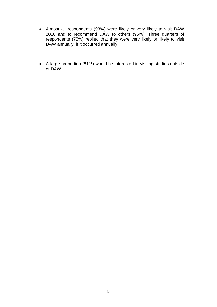- Almost all respondents (93%) were likely or very likely to visit DAW 2010 and to recommend DAW to others (95%). Three quarters of respondents (75%) replied that they were very likely or likely to visit DAW annually, if it occurred annually.
- A large proportion (81%) would be interested in visiting studios outside of DAW.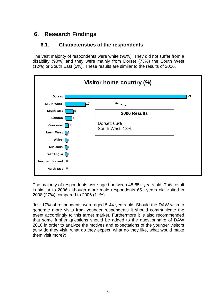# **6. Research Findings**

# **6.1. Characteristics of the respondents**

The vast majority of respondents were white (96%). They did not suffer from a disability (90%) and they were mainly from Dorset (73%) the South West (12%) or South East (5%). These results are similar to the results of 2006.



The majority of respondents were aged between 45-65+ years old. This result is similar to 2006 although more male respondents 65+ years old visited in 2008 (27%) compared to 2006 (11%).

Just 17% of respondents were aged 5-44 years old. Should the DAW wish to generate more visits from younger respondents it should communicate the event accordingly to this target market. Furthermore it is also recommended that some further questions should be added to the questionnaire of DAW 2010 in order to analyze the motives and expectations of the younger visitors (why do they visit, what do they expect, what do they like, what would make them visit more?).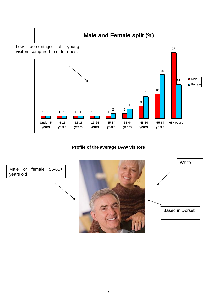

#### **Profile of the average DAW visitors**

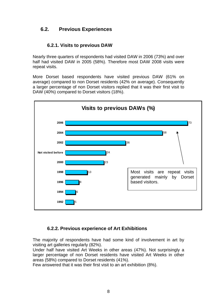# **6.2. Previous Experiences**

## **6.2.1. Visits to previous DAW**

Nearly three quarters of respondents had visited DAW in 2006 (73%) and over half had visited DAW in 2005 (58%). Therefore most DAW 2008 visits were repeat visits.

More Dorset based respondents have visited previous DAW (61% on average) compared to non Dorset residents (42% on average). Consequently a larger percentage of non Dorset visitors replied that it was their first visit to DAW (40%) compared to Dorset visitors (18%).



#### **6.2.2. Previous experience of Art Exhibitions**

The majority of respondents have had some kind of involvement in art by visiting art galleries regularly (82%).

Under half have visited Art Weeks in other areas (47%). Not surprisingly a larger percentage of non Dorset residents have visited Art Weeks in other areas (58%) compared to Dorset residents (41%).

Few answered that it was their first visit to an art exhibition (8%).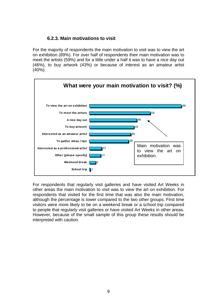### **6.2.3. Main motivations to visit**

For the majority of respondents the main motivation to visit was to view the art on exhibition (89%). For over half of respondents their main motivation was to meet the artists (59%) and for a little under a half it was to have a nice day out (46%), to buy artwork (43%) or because of interest as an amateur artist (40%).



For respondents that regularly visit galleries and have visited Art Weeks in other areas the main motivation to visit was to view the art on exhibition. For respondents that visited for the first time that was also the main motivation, although the percentage is lower compared to the two other groups. First time visitors were more likely to be on a weekend break or a school trip compared to people that regularly visit galleries or have visited Art Weeks in other areas. However, because of the small sample of this group these results should be interpreted with caution.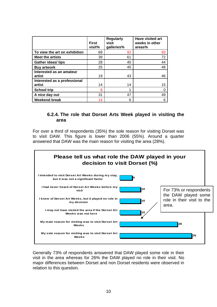|                                        | <b>First</b><br>visit% | <b>Regularly</b><br>visit<br>galleries% | <b>Have visited art</b><br>weeks in other<br>areas% |
|----------------------------------------|------------------------|-----------------------------------------|-----------------------------------------------------|
| To view the art on exhibition          | 69                     | 92                                      | 93                                                  |
| <b>Meet the artists</b>                | 39                     | 61                                      | 72                                                  |
| <b>Gather ideas/ tips</b>              | 28                     | 40                                      | 44                                                  |
| <b>Buy artwork</b>                     | 25                     | 45                                      | 48                                                  |
| Interested as an amateur<br>artist     | 19                     | 43                                      | 46                                                  |
| Interested as a professional<br>artist | 14                     | 14                                      | 15                                                  |
| <b>School trip</b>                     | 8                      | 1                                       |                                                     |
| A nice day out                         | 31                     | 47                                      | 49                                                  |
| <b>Weekend break</b>                   | 14                     | 6                                       | 6                                                   |

#### **6.2.4. The role that Dorset Arts Week played in visiting the area**

For over a third of respondents (35%) the sole reason for visiting Dorset was to visit DAW. This figure is lower than 2006 (55%). Around a quarter answered that DAW was the main reason for visiting the area (28%).



Generally 73% of respondents answered that DAW played some role in their visit in the area whereas for 26% the DAW played no role in their visit. No major differences between Dorset and non Dorset residents were observed in relation to this question.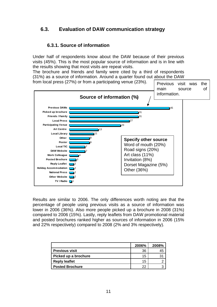# **6.3. Evaluation of DAW communication strategy**

### **6.3.1. Source of information**

Under half of respondents know about the DAW because of their previous visits (45%). This is the most popular source of information and is in line with the results showing that most visits are repeat visits.

The brochure and friends and family were cited by a third of respondents (31%) as a source of information. Around a quarter found out about the DAW



Results are similar to 2006. The only differences worth noting are that the percentage of people using previous visits as a source of information was lower in 2006 (36%). Also more people picked up a brochure in 2008 (31%) compared to 2006 (15%). Lastly, reply leaflets from DAW promotional material and posted brochures ranked higher as sources of information in 2006 (15% and 22% respectively) compared to 2008 (2% and 3% respectively).

|                        | 2006% | 2008% |
|------------------------|-------|-------|
| <b>Previous visit</b>  | 36    | 45    |
| Picked up a brochure   | 15    |       |
| <b>Reply leaflet</b>   | 15    |       |
| <b>Posted Brochure</b> | 22    |       |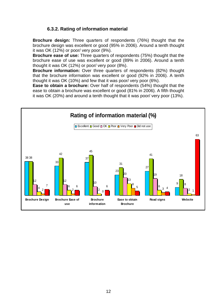## **6.3.2. Rating of information material**

**Brochure design:** Three quarters of respondents (76%) thought that the brochure design was excellent or good (95% in 2006). Around a tenth thought it was OK (12%) or poor/ very poor (9%).

**Brochure ease of use:** Three quarters of respondents (75%) thought that the brochure ease of use was excellent or good (89% in 2006). Around a tenth thought it was OK (12%) or poor/ very poor (8%).

**Brochure information:** Over three quarters of respondents (82%) thought that the brochure information was excellent or good (92% in 2006). A tenth thought it was OK (10%) and few that it was poor/ very poor (6%).

**Ease to obtain a brochure:** Over half of respondents (54%) thought that the ease to obtain a brochure was excellent or good (81% in 2006). A fifth thought it was OK (20%) and around a tenth thought that it was poor/ very poor (13%).

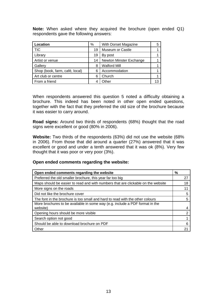**Note:** When asked where they acquired the brochure (open ended Q1) respondents gave the following answers:

| Location                       | %  | With Dorset Magazine    | 5  |
|--------------------------------|----|-------------------------|----|
| <b>TIC</b>                     | 19 | Museum or Castle        |    |
| Library                        | 19 | By post                 |    |
| Artist or venue                | 14 | Newton Minster Exchange |    |
| Gallery                        | 8  | <b>Walford Mill</b>     |    |
| Shop (book, farm, café, local) | 6  | Accommodation           |    |
| Art club or centre             | 6  | Church                  |    |
| From a friend                  |    | .)ther                  | 13 |

When respondents answered this question 5 noted a difficulty obtaining a brochure. This indeed has been noted in other open ended questions, together with the fact that they preferred the old size of the brochure because it was easier to carry around.

**Road signs:** Around two thirds of respondents (68%) thought that the road signs were excellent or good (80% in 2006).

**Website:** Two thirds of the respondents (63%) did not use the website (68% in 2006). From those that did around a quarter (27%) answered that it was excellent or good and under a tenth answered that it was ok (8%). Very few thought that it was poor or very poor (3%).

#### **Open ended comments regarding the website:**

| Open ended comments regarding the website                                                | %  |
|------------------------------------------------------------------------------------------|----|
| Preferred the old smaller brochure, this year far too big                                | 27 |
| Maps should be easier to read and with numbers that are clickable on the website         | 18 |
| More signs on the roads                                                                  | 11 |
| Did not like the brochure cover                                                          | 5  |
| The font in the brochure is too small and hard to read with the other colours            |    |
| More brochures to be available in some way (e.g. include a PDF format in the<br>website) |    |
| Opening hours should be more visible                                                     | າ  |
| Search option not good                                                                   |    |
| Should be able to download brochure on PDF                                               |    |
| Other                                                                                    | 2. |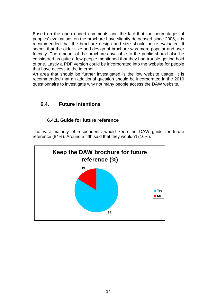Based on the open ended comments and the fact that the percentages of peoples' evaluations on the brochure have slightly decreased since 2006, it is recommended that the brochure design and size should be re-evaluated. It seems that the older size and design of brochure was more popular and user friendly. The amount of the brochures available to the public should also be considered as quite a few people mentioned that they had trouble getting hold of one. Lastly a PDF version could be incorporated into the website for people that have access to the internet.

An area that should be further investigated is the low website usage. It is recommended that an additional question should be incorporated in the 2010 questionnaire to investigate why not many people access the DAW website.

# **6.4. Future intentions**

#### **6.4.1. Guide for future reference**

The vast majority of respondents would keep the DAW guide for future reference (84%). Around a fifth said that they wouldn't (16%).

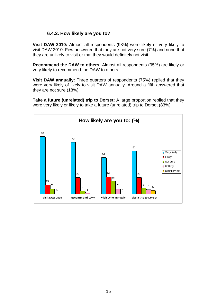#### **6.4.2. How likely are you to?**

**Visit DAW 2010:** Almost all respondents (93%) were likely or very likely to visit DAW 2010. Few answered that they are not very sure (7%) and none that they are unlikely to visit or that they would definitely not visit.

**Recommend the DAW to others:** Almost all respondents (95%) are likely or very likely to recommend the DAW to others.

**Visit DAW annually:** Three quarters of respondents (75%) replied that they were very likely of likely to visit DAW annually. Around a fifth answered that they are not sure (18%).

**Take a future (unrelated) trip to Dorset:** A large proportion replied that they were very likely or likely to take a future (unrelated) trip to Dorset (83%).

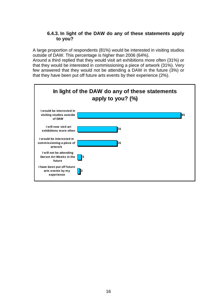#### **6.4.3. In light of the DAW do any of these statements apply to you?**

A large proportion of respondents (81%) would be interested in visiting studios outside of DAW. This percentage is higher than 2006 (64%).

Around a third replied that they would visit art exhibitions more often (31%) or that they would be interested in commissioning a piece of artwork (31%). Very few answered that they would not be attending a DAW in the future (3%) or that they have been put off future arts events by their experience (2%).

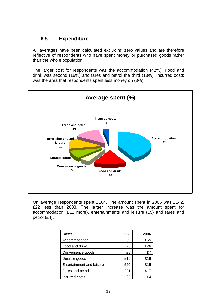### **6.5. Expenditure**

All averages have been calculated excluding zero values and are therefore reflective of respondents who have spent money or purchased goods rather than the whole population.

The larger cost for respondents was the accommodation (42%). Food and drink was second (16%) and fares and petrol the third (13%). Incurred costs was the area that respondents spent less money on (3%).



On average respondents spent £164. The amount spent in 2006 was £142, £22 less than 2008. The larger increase was the amount spent for accommodation (£11 more), entertainments and leisure (£5) and fares and petrol (£4).

| Costs                     | 2008 | 2006 |
|---------------------------|------|------|
| Accommodation             | £69  | £55  |
| Food and drink            | £26  | £26  |
| Convenience goods         | £8   | £7   |
| Durable goods             | £15  | £18  |
| Entertainment and leisure | £20  | £15  |
| Fares and petrol          | £21  | £17  |
| Incurred costs            | £5   | ۴4   |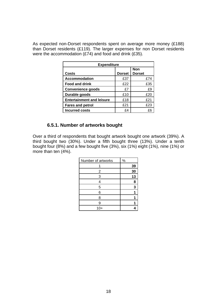As expected non-Dorset respondents spent on average more money (£188) than Dorset residents (£119). The larger expenses for non Dorset residents were the accommodation (£74) and food and drink (£35).

| <b>Expenditure</b>               |               |                             |  |  |
|----------------------------------|---------------|-----------------------------|--|--|
| <b>Costs</b>                     | <b>Dorset</b> | <b>Non</b><br><b>Dorset</b> |  |  |
| Accommodation                    | £37           | £74                         |  |  |
| <b>Food and drink</b>            | £22           | £35                         |  |  |
| <b>Convenience goods</b>         | £7            | £9                          |  |  |
| Durable goods                    | £10           | £20                         |  |  |
| <b>Entertainment and leisure</b> | £18           | £21                         |  |  |
| <b>Fares and petrol</b>          | £21           | £23                         |  |  |
| <b>Incurred costs</b>            | £4            | £Θ                          |  |  |

#### **6.5.1. Number of artworks bought**

Over a third of respondents that bought artwork bought one artwork (39%). A third bought two (30%). Under a fifth bought three (13%). Under a tenth bought four (8%) and a few bought five (3%), six (1%) eight (1%), nine (1%) or more than ten (4%).

| Number of artworks | %  |
|--------------------|----|
|                    | 39 |
| $\overline{2}$     | 30 |
| 3                  | 13 |
| 4                  | 8  |
| 5                  | 3  |
| 6                  |    |
| 8                  |    |
| 9                  |    |
| $10+$              |    |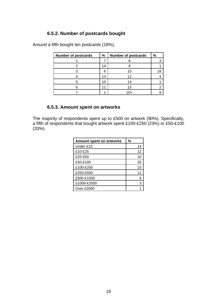## **6.5.2. Number of postcards bought**

Around a fifth bought ten postcards (18%),

| <b>Number of postcards</b> | %  | <b>Number of postcards</b> | $\%$ |
|----------------------------|----|----------------------------|------|
|                            |    |                            |      |
|                            | 14 |                            |      |
|                            | 6  | 10                         | 18   |
|                            | 13 | 12                         |      |
|                            | 10 | 14                         |      |
|                            |    | 15                         |      |
|                            |    | 20+                        |      |

# **6.5.3. Amount spent on artworks**

The majority of respondents spent up to £500 on artwork (90%). Specifically, a fifth of respondents that bought artwork spent £100-£250 (23%) or £50-£100 (20%).

| Amount spent on artworks | %  |
|--------------------------|----|
| Under £10                | 14 |
| £10-£25                  | 12 |
| £25-£50                  | 10 |
| £50-£100                 | 20 |
| £100-£250                | 23 |
| £250-£500                | 11 |
| £500-£1000               |    |
| £1000-£2000              | З  |
| Over £2000               |    |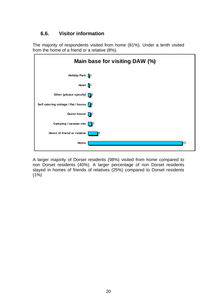# **6.6. Visitor information**

The majority of respondents visited from home (81%). Under a tenth visited from the home of a friend or a relative (8%).

|                                          | Main base for visiting DAW (%) |
|------------------------------------------|--------------------------------|
| Holiday Park 1                           |                                |
| Hotel $\sqrt{1}$                         |                                |
| Other (please specify) $\boxed{2}$       |                                |
| Self catering cottage / flat / house   2 |                                |
| Guest house   2                          |                                |
| Camping / caravan site                   | $\blacksquare$                 |
| Home of friend or relative               | 18                             |
| Home                                     | 81                             |

A larger majority of Dorset residents (98%) visited from home compared to non Dorset residents (40%). A larger percentage of non Dorset residents stayed in homes of friends of relatives (25%) compared to Dorset residents  $(1\%)$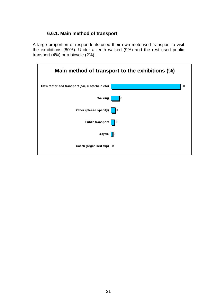### **6.6.1. Main method of transport**

A large proportion of respondents used their own motorised transport to visit the exhibitions (80%). Under a tenth walked (9%) and the rest used public transport (4%) or a bicycle (2%).

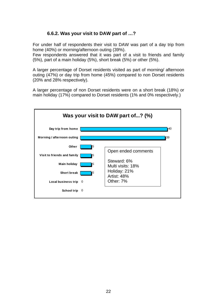# **6.6.2. Was your visit to DAW part of …?**

For under half of respondents their visit to DAW was part of a day trip from home (40%) or morning/afternoon outing (39%).

Few respondents answered that it was part of a visit to friends and family (5%), part of a main holiday (5%), short break (5%) or other (5%).

A larger percentage of Dorset residents visited as part of morning/ afternoon outing (47%) or day trip from home (45%) compared to non Dorset residents (20% and 28% respectively).

A larger percentage of non Dorset residents were on a short break (18%) or main holiday (17%) compared to Dorset residents (1% and 0% respectively.)

| Was your visit to DAW part of? (%) |     |                                  |     |  |  |  |
|------------------------------------|-----|----------------------------------|-----|--|--|--|
| Day trip from home                 |     |                                  | 140 |  |  |  |
| Morning / afternoon outing         |     |                                  | 39  |  |  |  |
| Other                              | 15  | Open ended comments              |     |  |  |  |
| Visit to friends and family        | 5   |                                  |     |  |  |  |
| <b>Main holiday</b>                | 5   | Steward: 6%<br>Multi visits: 18% |     |  |  |  |
| <b>Short break</b>                 | 15  | Holiday: 21%<br>Artist: 48%      |     |  |  |  |
| Local business trip                | - 0 | Other: 7%                        |     |  |  |  |
| School trip                        | - 0 |                                  |     |  |  |  |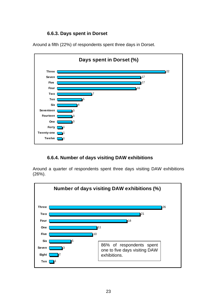## **6.6.3. Days spent in Dorset**





#### **6.6.4. Number of days visiting DAW exhibitions**

Around a quarter of respondents spent three days visiting DAW exhibitions (26%).

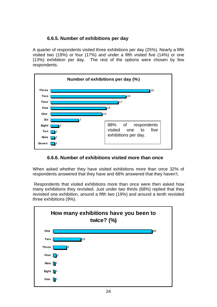## **6.6.5. Number of exhibitions per day**

A quarter of respondents visited three exhibitions per day (25%). Nearly a fifth visited two (19%) or four (17%) and under a fifth visited five (14%) or one (13%) exhibition per day. The rest of the options were chosen by few respondents.



#### **6.6.6. Number of exhibitions visited more than once**

When asked whether they have visited exhibitions more than once 32% of respondents answered that they have and 68% answered that they haven't.

 Respondents that visited exhibitions more than once were then asked how many exhibitions they revisited. Just under two thirds (68%) replied that they revisited one exhibition, around a fifth two (19%) and around a tenth revisited three exhibitions (9%).

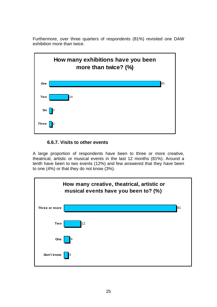Furthermore, over three quarters of respondents (81%) revisited one DAW exhibition more than twice.



# **6.6.7. Visits to other events**

A large proportion of respondents have been to three or more creative, theatrical, artistic or musical events in the last 12 months (81%). Around a tenth have been to two events (12%) and few answered that they have been to one (4%) or that they do not know (3%).

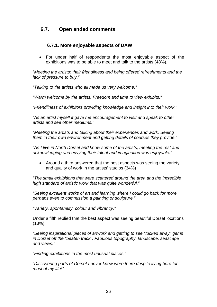## **6.7. Open ended comments**

#### **6.7.1. More enjoyable aspects of DAW**

• For under half of respondents the most enjoyable aspect of the exhibitions was to be able to meet and talk to the artists (48%).

*"Meeting the artists: their friendliness and being offered refreshments and the lack of pressure to buy."* 

*"Talking to the artists who all made us very welcome."* 

*"Warm welcome by the artists. Freedom and time to view exhibits."* 

*"Friendliness of exhibitors providing knowledge and insight into their work."* 

*"As an artist myself it gave me encouragement to visit and speak to other artists and see other mediums."* 

*"Meeting the artists and talking about their experiences and work. Seeing them in their own environment and getting details of courses they provide."* 

*"As I live in North Dorset and know some of the artists, meeting the rest and acknowledging and envying their talent and imagination was enjoyable."* 

• Around a third answered that the best aspects was seeing the variety and quality of work in the artists' studios (34%)

*"The small exhibitions that were scattered around the area and the incredible high standard of artistic work that was quite wonderful."* 

*"Seeing excellent works of art and learning where I could go back for more, perhaps even to commission a painting or sculpture."* 

*"Variety, spontaneity, colour and vibrancy."* 

Under a fifth replied that the best aspect was seeing beautiful Dorset locations (13%).

*"Seeing inspirational pieces of artwork and getting to see "tucked away" gems in Dorset off the "beaten track". Fabulous topography, landscape, seascape and views."* 

*"Finding exhibitions in the most unusual places."* 

*"Discovering parts of Dorset I never knew were there despite living here for most of my life!"*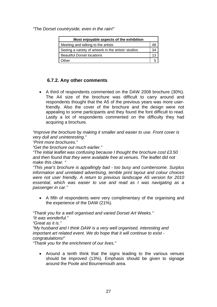*"The Dorset countryside, even in the rain!"* 

| Most enjoyable aspects of the exhibition            |    |  |  |
|-----------------------------------------------------|----|--|--|
| Meeting and talking to the artists                  |    |  |  |
| Seeing a variety of artwork in the artists' studios | 34 |  |  |
| <b>Beautiful Dorset locations</b>                   |    |  |  |
| )ther                                               |    |  |  |

#### **6.7.2. Any other comments**

• A third of respondents commented on the DAW 2008 brochure (30%). The A4 size of the brochure was difficult to carry around and respondents thought that the A5 of the previous years was more userfriendly. Also the cover of the brochure and the design were not appealing to some participants and they found the font difficult to read. Lastly a lot of respondents commented on the difficulty they had acquiring a brochure.

*"Improve the brochure by making it smaller and easier to use. Front cover is very dull and uninteresting."* 

*"Print more brochures."* 

*"Get the brochure out much earlier."* 

*"The initial leaflet was confusing because I thought the brochure cost £3.50 and then found that they were available free at venues. The leaflet did not make this clear. "* 

*"This year's brochure is appallingly bad - too busy and cumbersome. Surplus information and unrelated advertising, terrible print layout and colour choices were not user friendly. A return to previous landscape A5 version for 2010 essential, which was easier to use and read as I was navigating as a passenger in car."* 

• A fifth of respondents were very complimentary of the organising and the experience of the DAW (21%).

*"Thank you for a well organised and varied Dorset Art Weeks."* 

*"It was wonderful."* 

*"Great as it is."* 

*"My husband and I think DAW is a very well organised, interesting and important art related event. We do hope that it will continue to exist congratulations!"* 

*"Thank you for the enrichment of our lives."* 

• Around a tenth think that the signs leading to the various venues should be improved (13%). Emphasis should be given to signage around the Poole and Bournemouth area.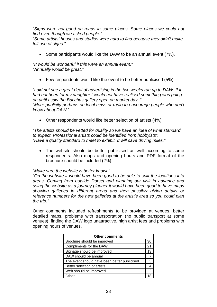*"Signs were not good on roads in some places. Some places we could not find even though we asked people."* 

*"Some artists' houses and studios were hard to find because they didn't make full use of signs."* 

• Some participants would like the DAW to be an annual event (7%).

*"It would be wonderful if this were an annual event." "Annually would be great."* 

• Few respondents would like the event to be better publicised (5%).

*"I did not see a great deal of advertising in the two weeks run up to DAW. If it had not been for my daughter I would not have realised something was going on until I saw the Bacchus gallery open on market day. " "More publicity perhaps on local news or radio to encourage people who don't know about DAW."* 

• Other respondents would like better selection of artists (4%)

*"The artists should be vetted for quality so we have an idea of what standard to expect. Professional artists could be identified from hobbyists". "Have a quality standard to meet to exhibit. It will save driving miles."* 

• The website should be better publicised as well according to some respondents. Also maps and opening hours and PDF format of the brochure should be included (2%).

*"Make sure the website is better known"* 

*"On the website it would have been good to be able to split the locations into areas. Coming from outside Dorset and planning our visit in advance and using the website as a journey planner it would have been good to have maps showing galleries in different areas and then possibly giving details or reference numbers for the next galleries at the artist's area so you could plan the trip."* 

Other comments included refreshments to be provided at venues, better detailed maps, problems with transportation (no public transport at some venues), finding the DAW logo unattractive, high artist fees and problems with opening hours of venues.

| <b>Other comments</b>                        |     |  |
|----------------------------------------------|-----|--|
| Brochure should be improved                  | 30  |  |
| Compliments for the DAW                      | 21  |  |
| Signage should be improved                   | 13  |  |
| DAW should be annual                         |     |  |
| The event should have been better publicised | 5   |  |
| Better selection of artists                  | 4   |  |
| Web should be improved                       | 2   |  |
| <b>Other</b>                                 | 1 ≻ |  |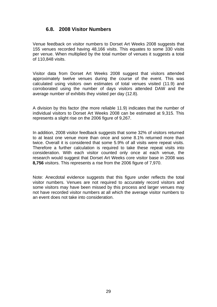# **6.8. 2008 Visitor Numbers**

Venue feedback on visitor numbers to Dorset Art Weeks 2008 suggests that 155 venues recorded having 48,166 visits. This equates to some 330 visits per venue. When multiplied by the total number of venues it suggests a total of 110,848 visits.

Visitor data from Dorset Art Weeks 2008 suggest that visitors attended approximately twelve venues during the course of the event. This was calculated using visitors own estimates of total venues visited (11.9) and corroborated using the number of days visitors attended DAW and the average number of exhibits they visited per day (12.8).

A division by this factor (the more reliable 11.9) indicates that the number of individual visitors to Dorset Art Weeks 2008 can be estimated at 9,315. This represents a slight rise on the 2006 figure of 9,267.

In addition, 2008 visitor feedback suggests that some 32% of visitors returned to at least one venue more than once and some 8.1% returned more than twice. Overall it is considered that some 5.9% of all visits were repeat visits. Therefore a further calculation is required to take these repeat visits into consideration. With each visitor counted only once at each venue, the research would suggest that Dorset Art Weeks core visitor base in 2008 was **8,756** visitors. This represents a rise from the 2006 figure of 7,970.

Note: Anecdotal evidence suggests that this figure under reflects the total visitor numbers. Venues are not required to accurately record visitors and some visitors may have been missed by this process and larger venues may not have recorded visitor numbers at all which the average visitor numbers to an event does not take into consideration.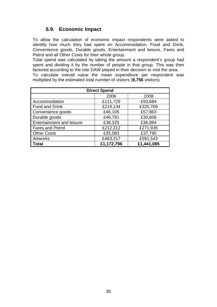# **6.9. Economic Impact**

To allow the calculation of economic impact respondents were asked to identify how much they had spent on Accommodation, Food and Drink, Convenience goods, Durable goods, Entertainment and leisure, Fares and Petrol and all Other Costs for their whole group.

Total spend was calculated by taking the amount a respondent's group had spent and dividing it by the number of people in that group. This was then factored according to the role DAW played in their decision to visit the area.

To calculate overall value the mean expenditure per respondent was multiplied by the estimated total number of visitors (**8,756** visitors).

| <b>Direct Spend</b>              |            |            |  |  |
|----------------------------------|------------|------------|--|--|
|                                  | 2006       | 2008       |  |  |
| Accommodation                    | £111,729   | £93,684    |  |  |
| Food and Drink                   | £219,134   | £320,769   |  |  |
| Convenience goods                | £46,105    | £57,863    |  |  |
| Durable goods                    | £46,791    | £30,606    |  |  |
| <b>Entertainment and leisure</b> | £38,325    | £36,894    |  |  |
| <b>Fares and Petrol</b>          | £212,312   | £271,935   |  |  |
| <b>Other Costs</b>               | £35,083    | £37,790    |  |  |
| Artworks                         | £463,317   | £591,543   |  |  |
| <b>Total</b>                     | £1,172,796 | £1,441,085 |  |  |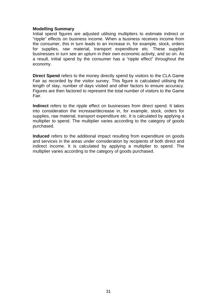#### **Modelling Summary**

Initial spend figures are adjusted utilising multipliers to estimate indirect or "ripple" effects on business income. When a business receives income from the consumer, this in turn leads to an increase in, for example, stock, orders for supplies, raw material, transport expenditure etc. These supplier businesses in turn see an upturn in their own economic activity, and so on. As a result, initial spend by the consumer has a "ripple effect" throughout the economy.

**Direct Spend** refers to the money directly spend by visitors to the CLA Game Fair as recorded by the visitor survey. This figure is calculated utilising the length of stay, number of days visited and other factors to ensure accuracy. Figures are then factored to represent the total number of visitors to the Game Fair.

**Indirect** refers to the ripple effect on businesses from direct spend. It takes into consideration the increase/decrease in, for example, stock, orders for supplies, raw material, transport expenditure etc. It is calculated by applying a multiplier to spend. The multiplier varies according to the category of goods purchased.

**Induced** refers to the additional impact resulting from expenditure on goods and services in the areas under consideration by recipients of both direct and indirect income. It is calculated by applying a multiplier to spend. The multiplier varies according to the category of goods purchased.